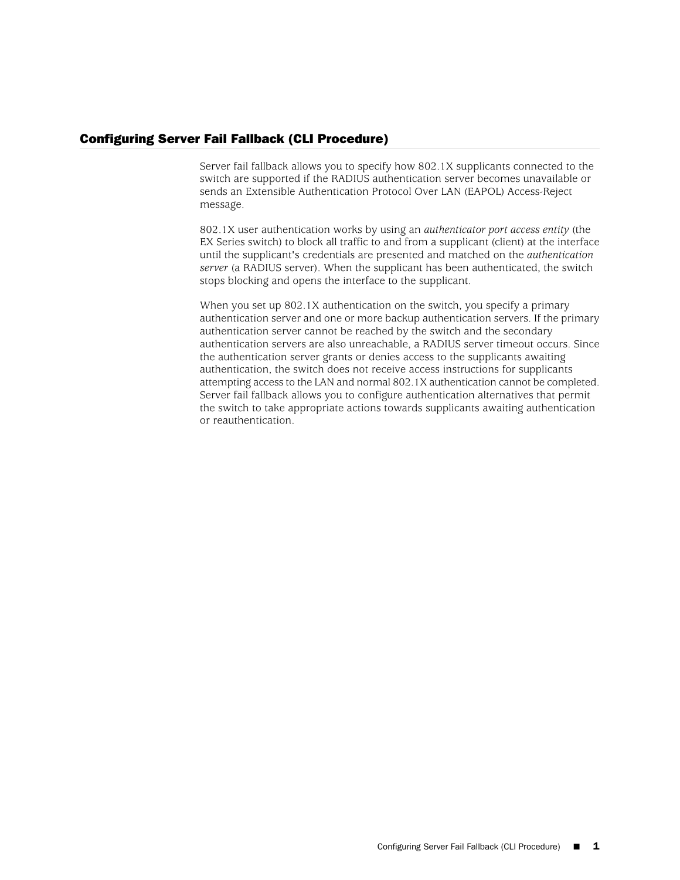## Configuring Server Fail Fallback (CLI Procedure)

Server fail fallback allows you to specify how 802.1X supplicants connected to the switch are supported if the RADIUS authentication server becomes unavailable or sends an Extensible Authentication Protocol Over LAN (EAPOL) Access-Reject message.

802.1X user authentication works by using an *authenticator port access entity* (the EX Series switch) to block all traffic to and from a supplicant (client) at the interface until the supplicant's credentials are presented and matched on the *authentication server* (a RADIUS server). When the supplicant has been authenticated, the switch stops blocking and opens the interface to the supplicant.

When you set up 802.1X authentication on the switch, you specify a primary authentication server and one or more backup authentication servers. If the primary authentication server cannot be reached by the switch and the secondary authentication servers are also unreachable, a RADIUS server timeout occurs. Since the authentication server grants or denies access to the supplicants awaiting authentication, the switch does not receive access instructions for supplicants attempting access to the LAN and normal 802.1X authentication cannot be completed. Server fail fallback allows you to configure authentication alternatives that permit the switch to take appropriate actions towards supplicants awaiting authentication or reauthentication.